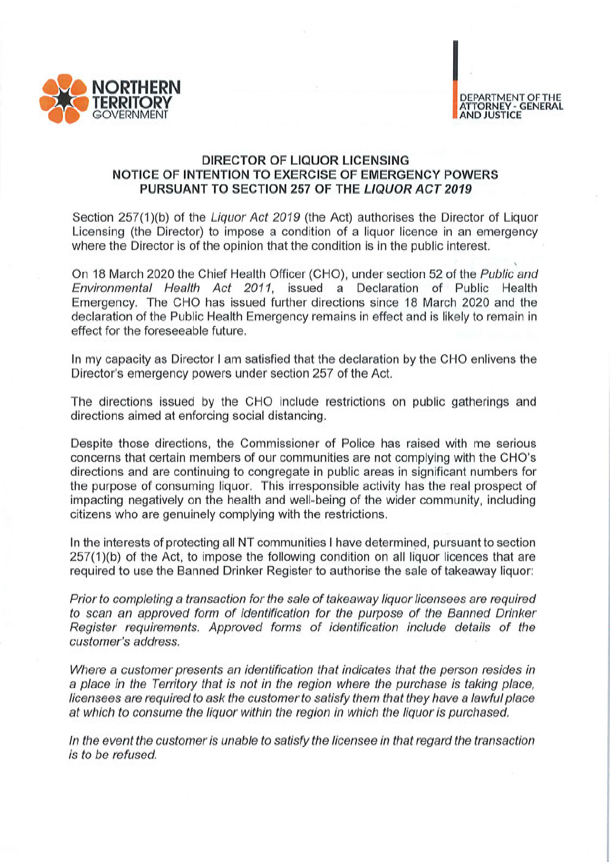

## DIRECTOR OF LIQUOR LICENSING NOTICE OF INTENTION TO EXERCISE OF EMERGENCY POWERS PURSUANT TO SECTION 257 OF THE LIQUOR ACT 2019

Section 257(1)(b) of the Liquor Act 2019 (the Act) authorises the Director of Liquor Licensing (the Director) to impose a condition of a liquor licence in an emergency where the Director is of the opinion that the condition is in the public interest.

On 18 March 2020 the Chief Health Officer (CHO), under section 52 of the Public and Environmental Health Act 2011, issued a Declaration of Public Health Emergency. The CHO has issued further directions since 18 March 2020 and the declaration of the Public Health Emergency remains in effect and is likely to remain in effect for the foreseeable future.

In my capacity as Director I am satisfied that the declaration by the CHO enlivens the Director's emergency powers under section 257 of the Act.

The directions issued by the CHO include restrictions on public gatherings and directions aimed at enforcing social distancing.

Despite those directions, the Commissioner of Police has raised with me serious concerns that certain members of our communities are not complying with the CHO's directions and are continuing to congregate in public areas in significant numbers for the purpose of consuming liquor. This irresponsible activity has the real prospect of impacting negatively on the health and well-being of the wider community, including citizens who are genuinely complying with the restrictions.

In the interests of protecting all NT communities I have determined, pursuant to section 257(1)(b) of the Act, to impose the following condition on all liquor licences that are required to use the Banned Drinker Register to authorise the sale of takeaway liquor:

Prior to completing a transaction for the sale of takeaway liquor licensees are required to scan an approved form of identification for the purpose of the Banned Drinker Register requirements. Approved forms of identification include details of the customer's address.

Where a customer presents an identification that indicates that the person resides in a place in the Territory that is not in the region where the purchase is taking place, licensees are required to ask the customer to satisfy them that they have a lawful place at which to consume the liquor within the region in which the liquor is purchased.

In the event the customer is unable to satisfy the licensee in that regard the transaction /s to be refused.